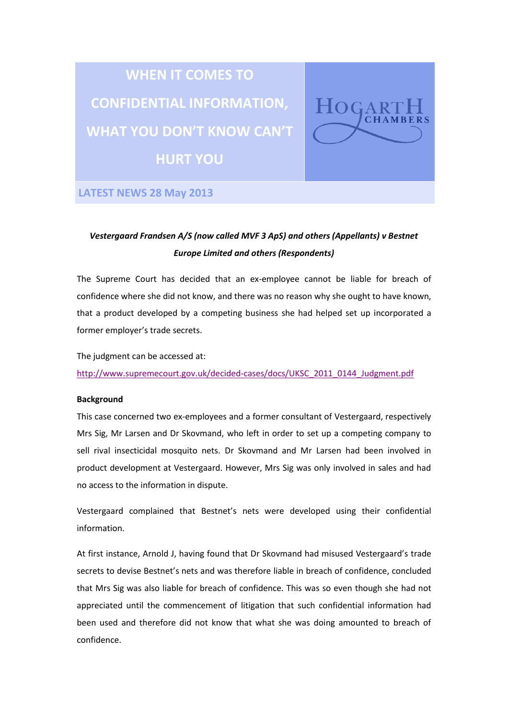# **WHEN IT COMES TO CONFIDENTIAL INFORMATION, WHAT YOU DON'T KNOW CAN'T HURT YOU**



**LATEST NEWS 28 May 2013**

# *Vestergaard Frandsen A/S (now called MVF 3 ApS) and others (Appellants) v Bestnet Europe Limited and others (Respondents)*

The Supreme Court has decided that an ex-employee cannot be liable for breach of confidence where she did not know, and there was no reason why she ought to have known, that a product developed by a competing business she had helped set up incorporated a former employer's trade secrets.

The judgment can be accessed at:

[http://www.supremecourt.gov.uk/decided-cases/docs/UKSC\\_2011\\_0144\\_Judgment.pdf](http://www.supremecourt.gov.uk/decided-cases/docs/UKSC_2011_0144_Judgment.pdf)

## **Background**

This case concerned two ex-employees and a former consultant of Vestergaard, respectively Mrs Sig, Mr Larsen and Dr Skovmand, who left in order to set up a competing company to sell rival insecticidal mosquito nets. Dr Skovmand and Mr Larsen had been involved in product development at Vestergaard. However, Mrs Sig was only involved in sales and had no access to the information in dispute.

Vestergaard complained that Bestnet's nets were developed using their confidential information.

At first instance, Arnold J, having found that Dr Skovmand had misused Vestergaard's trade secrets to devise Bestnet's nets and was therefore liable in breach of confidence, concluded that Mrs Sig was also liable for breach of confidence. This was so even though she had not appreciated until the commencement of litigation that such confidential information had been used and therefore did not know that what she was doing amounted to breach of confidence.